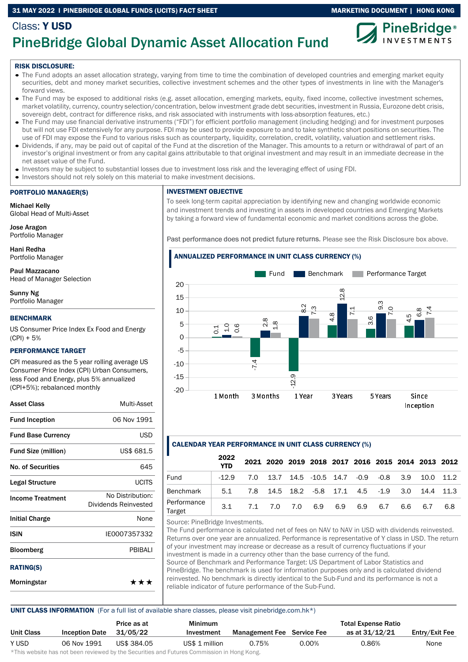#### 31 MAY 2022 I PINEBRIDGE GLOBAL FUNDS (UCITS) FACT SHEET MARKETING DOCUMENT | HONG KONG



## PineBridge Global Dynamic Asset Allocation Fund

#### RISK DISCLOSURE:

Class: Y USD

- The Fund adopts an asset allocation strategy, varying from time to time the combination of developed countries and emerging market equity securities, debt and money market securities, collective investment schemes and the other types of investments in line with the Manager's forward views.
- The Fund may be exposed to additional risks (e.g. asset allocation, emerging markets, equity, fixed income, collective investment schemes, market volatility, currency, country selection/concentration, below investment grade debt securities, investment in Russia, Eurozone debt crisis, sovereign debt, contract for difference risks, and risk associated with instruments with loss-absorption features, etc.)
- The Fund may use financial derivative instruments ("FDI") for efficient portfolio management (including hedging) and for investment purposes but will not use FDI extensively for any purpose. FDI may be used to provide exposure to and to take synthetic short positions on securities. The use of FDI may expose the Fund to various risks such as counterparty, liquidity, correlation, credit, volatility, valuation and settlement risks.
- Dividends, if any, may be paid out of capital of the Fund at the discretion of the Manager. This amounts to a return or withdrawal of part of an investor's original investment or from any capital gains attributable to that original investment and may result in an immediate decrease in the net asset value of the Fund.
- Investors may be subject to substantial losses due to investment loss risk and the leveraging effect of using FDI.
- Investors should not rely solely on this material to make investment decisions.

#### PORTFOLIO MANAGER(S)

Michael Kelly Global Head of Multi-Asset

Jose Aragon Portfolio Manager

Hani Redha Portfolio Manager

Paul Mazzacano Head of Manager Selection

Sunny Ng Portfolio Manager

#### BENCHMARK

US Consumer Price Index Ex Food and Energy  $(CPI) + 5%$ 

#### PERFORMANCE TARGET

CPI measured as the 5 year rolling average US Consumer Price Index (CPI) Urban Consumers, less Food and Energy, plus 5% annualized (CPI+5%); rebalanced monthly

| Asset Class                | Multi-Asset                              |
|----------------------------|------------------------------------------|
| <b>Fund Inception</b>      | 06 Nov 1991                              |
| <b>Fund Base Currency</b>  | <b>USD</b>                               |
| <b>Fund Size (million)</b> | US\$ 681.5                               |
| <b>No. of Securities</b>   | 645                                      |
| Legal Structure            | <b>UCITS</b>                             |
| <b>Income Treatment</b>    | No Distribution:<br>Dividends Reinvested |
| <b>Initial Charge</b>      | None                                     |
| <b>ISIN</b>                | IE0007357332                             |
| <b>Bloomberg</b>           | PBIBALI                                  |
| <b>RATING(S)</b>           |                                          |
| Morningstar                | ***                                      |

#### INVESTMENT OBJECTIVE

To seek long-term capital appreciation by identifying new and changing worldwide economic and investment trends and investing in assets in developed countries and Emerging Markets by taking a forward view of fundamental economic and market conditions across the globe.

Past performance does not predict future returns. Please see the Risk Disclosure box above.

#### ANNUALIZED PERFORMANCE IN UNIT CLASS CURRENCY (%)



#### CALENDAR YEAR PERFORMANCE IN UNIT CLASS CURRENCY (%)

|                       | 2022<br><b>YTD</b> |             |                                                  |  |     |         | 2021 2020 2019 2018 2017 2016 2015 2014 2013 2012 |
|-----------------------|--------------------|-------------|--------------------------------------------------|--|-----|---------|---------------------------------------------------|
| Fund                  | $-12.9$            |             | 7.0 13.7 14.5 -10.5 14.7 -0.9 -0.8 3.9 10.0 11.2 |  |     |         |                                                   |
| Benchmark             | 5.1                |             | 7.8 14.5 18.2 -5.8 17.1 4.5 -1.9 3.0 14.4 11.3   |  |     |         |                                                   |
| Performance<br>Target | 3.1                | 7.1 7.0 7.0 | 6.9 6.9 6.9                                      |  | 6.7 | 6.6 6.7 | 6.8                                               |

Source: PineBridge Investments.

The Fund performance is calculated net of fees on NAV to NAV in USD with dividends reinvested. Returns over one year are annualized. Performance is representative of Y class in USD. The return of your investment may increase or decrease as a result of currency fluctuations if your investment is made in a currency other than the base currency of the fund. Source of Benchmark and Performance Target: US Department of Labor Statistics and PineBridge. The benchmark is used for information purposes only and is calculated dividend reinvested. No benchmark is directly identical to the Sub-Fund and its performance is not a reliable indicator of future performance of the Sub-Fund.

#### UNIT CLASS INFORMATION (For a full list of available share classes, please visit pinebridge.com.hk\*)

|            |                       | Price as at | <b>Minimum</b>                                                                                                  |                                   |          | <b>Total Expense Ratio</b> |                |
|------------|-----------------------|-------------|-----------------------------------------------------------------------------------------------------------------|-----------------------------------|----------|----------------------------|----------------|
| Unit Class | <b>Inception Date</b> | 31/05/22    | Investment                                                                                                      | <b>Management Fee</b> Service Fee |          | as at 31/12/21             | Entry/Exit Fee |
| Y USD      | 06 Nov 1991           | US\$ 384.05 | US\$ 1 million                                                                                                  | 0.75%                             | $0.00\%$ | 0.86%                      | None           |
|            |                       |             | di∓bio confectivo bele celebracio conteccedo bonda e Alexandidade e a al Fodocado Alexandrea fortiba e a Mexica |                                   |          |                            |                |

This website has not been reviewed by the Securities and Futures Commission in Hong Kong.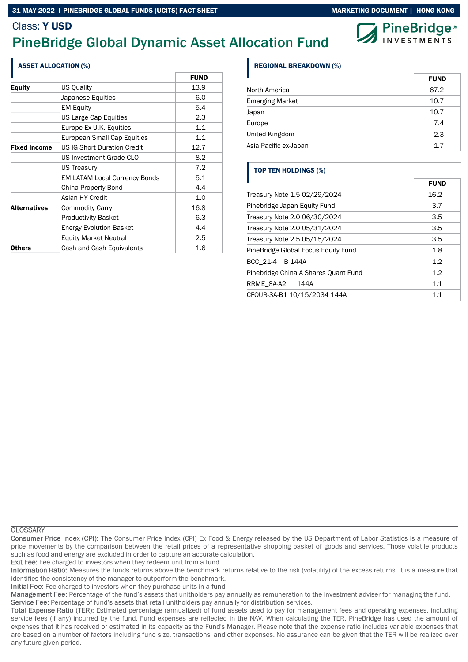# **PineBridge**®

### Class: Y USD

## PineBridge Global Dynamic Asset Allocation Fund

| <b>ASSET ALLOCATION (%)</b> |                                      |             |
|-----------------------------|--------------------------------------|-------------|
|                             |                                      | <b>FUND</b> |
| <b>Equity</b>               | <b>US Quality</b>                    | 13.9        |
|                             | Japanese Equities                    | 6.0         |
|                             | <b>EM Equity</b>                     | 5.4         |
|                             | US Large Cap Equities                | 2.3         |
|                             | Europe Ex-U.K. Equities              | 1.1         |
|                             | European Small Cap Equities          | 1.1         |
| <b>Fixed Income</b>         | <b>US IG Short Duration Credit</b>   | 12.7        |
|                             | US Investment Grade CLO              | 8.2         |
|                             | <b>US Treasury</b>                   | 7.2         |
|                             | <b>EM LATAM Local Currency Bonds</b> | 5.1         |
|                             | China Property Bond                  | 4.4         |
|                             | Asian HY Credit                      | 1.0         |
| <b>Alternatives</b>         | <b>Commodity Carry</b>               | 16.8        |
|                             | <b>Productivity Basket</b>           | 6.3         |
|                             | <b>Energy Evolution Basket</b>       | 4.4         |
|                             | <b>Equity Market Neutral</b>         | 2.5         |
| <b>Others</b>               | Cash and Cash Equivalents            | 1.6         |

#### REGIONAL BREAKDOWN (%)

|                       | <b>FUND</b> |
|-----------------------|-------------|
| North America         | 67.2        |
| Emerging Market       | 10.7        |
| Japan                 | 10.7        |
| Europe                | 7.4         |
| United Kingdom        | 2.3         |
| Asia Pacific ex-Japan | 1.7         |

#### TOP TEN HOLDINGS (%)

|                                      | <b>FUND</b> |
|--------------------------------------|-------------|
| Treasury Note 1.5 02/29/2024         | 16.2        |
| Pinebridge Japan Equity Fund         | 3.7         |
| Treasury Note 2.0 06/30/2024         | 3.5         |
| Treasury Note 2.0 05/31/2024         | 3.5         |
| Treasury Note 2.5 05/15/2024         | 3.5         |
| PineBridge Global Focus Equity Fund  | 1.8         |
| BCC 21-4 B 144A                      | 1.2         |
| Pinebridge China A Shares Quant Fund | 1.2         |
| RRME_8A-A2<br>144A                   | 1.1         |
| CFOUR-3A-B1 10/15/2034 144A          | 11          |

**GLOSSARY** 

Consumer Price Index (CPI): The Consumer Price Index (CPI) Ex Food & Energy released by the US Department of Labor Statistics is a measure of price movements by the comparison between the retail prices of a representative shopping basket of goods and services. Those volatile products such as food and energy are excluded in order to capture an accurate calculation.

Exit Fee: Fee charged to investors when they redeem unit from a fund.

Information Ratio: Measures the funds returns above the benchmark returns relative to the risk (volatility) of the excess returns. It is a measure that identifies the consistency of the manager to outperform the benchmark.

Initial Fee: Fee charged to investors when they purchase units in a fund.

Management Fee: Percentage of the fund's assets that unitholders pay annually as remuneration to the investment adviser for managing the fund. Service Fee: Percentage of fund's assets that retail unitholders pay annually for distribution services.

Total Expense Ratio (TER): Estimated percentage (annualized) of fund assets used to pay for management fees and operating expenses, including service fees (if any) incurred by the fund. Fund expenses are reflected in the NAV. When calculating the TER, PineBridge has used the amount of expenses that it has received or estimated in its capacity as the Fund's Manager. Please note that the expense ratio includes variable expenses that are based on a number of factors including fund size, transactions, and other expenses. No assurance can be given that the TER will be realized over any future given period.